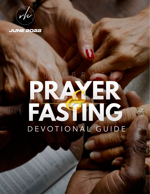



# PRACTICE DEVOTIONAL GUIDE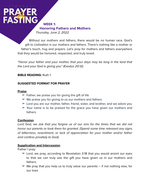**WEEK 1: Honoring Fathers and Mothers** *Thursday, June 2, 2022*

Without our mothers and fathers, there would be no human race. God's gift to civilization is our mothers and fathers. There's nothing like a mother or father's touch, hug and prayers. Let's pray for mothers and fathers everywhere that they would be honored, respected, and truly loved.

*"Honor your father and your mother, that your days may be long in the land that the Lord your God is giving you" (Exodus 20:12)*

### **BIBLE READING:** Ruth 1

### **SUGGESTED FORMAT FOR PRAYER**

### **Praise**

- $\geq$  Father, we praise you for giving the gift of life
- $\geq$  We praise you for giving to us our mothers and fathers
- $\geq$  Lord you are our mother, father, friend, sister, and brother, and we adore you
- $\geq$  Your name is to be praised for the grace you have given our mothers and fathers

### **Confession**

Lord God, we ask that you forgive us of our sins for the times that we did not *honor our parents or took them for granted. (Spend some time released any signs of bitterness, resentment, or lack of appreciation for your mother and/or father and confess privately to God).*

### **Supplication and Intercession**

Father I pray:

- $\geq$  Lord, we pray, according to Revelation 3:18 that you would anoint our eyes to that we can truly see the gift you have given us in our mothers and fathers.
- $\geq$  We pray that you help us to truly value our parents if not nothing else, for our lives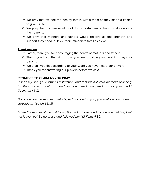- $\geq$  We pray that we see the beauty that is within them as they made a choice to give us life
- $\triangleright$  We pray that children would look for opportunities to honor and celebrate their parents
- $\geq$  We pray that mothers and fathers would receive all the strength and support they need, outside their immediate families as well

- $\geq$  Father, thank you for encouraging the hearts of mothers and fathers
- $\geq$  Thank you Lord that right now, you are providing and making ways for parents
- $\triangleright$  We thank you that according to your Word you have heard our prayers
- $\geq$  Thank you for answering our prayers before we ask!

### **PROMISES TO CLAIM AS YOU PRAY**

*"Hear, my son, your father's instruction, and forsake not your mother's teaching, for they are a graceful garland for your head and pendants for your neck." (Proverbs 1:8-9)*

*"As one whom his mother comforts, so I will comfort you; you shall be comforted in Jerusalem." (Isaiah 66:13)*

*"Then the mother of the child said, 'As the Lord lives and as you yourself live, I will not leave you.' So he arose and followed her." (2 Kings 4:30)*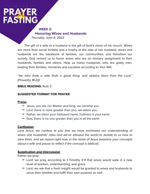**WEEK 2: Honoring Wives and Husbands** *Thursday, June 9, 2022*

The gift of a wife to a husband is the gift of God's vision of his church. Wives are more than social trinkets and a trophy at the side of her husband; wives and husbands are the backbone of families, our communities, and therefore our society. God remind us to honor wives who are on ministry assignment to their husbands, families and others. Help us honor husbands, who are goldy men, leading their families, ministries and societies according to Your Will.

*"He who finds a wife finds a good thing, and obtains favor from the Lord." (Proverbs 18:22)*

### **BIBLE READING:** Ruth 2

### **SUGGESTED FORMAT FOR PRAYER**

### **Praise**

- $\geq$  Jesus, you are our Master and King, we worship you
- $\geq$  Lord, there is none greater than you, we adore you
- $\geq$  Father, we bless your hallowed name, holiness is your name
- $\geq$  God, there is no one greater than you in all the earth

### **Confession**

Lord Jesus, we confess to you that we have minimized our understanding of *wives and husbands' roles and we've allowed the world to dictate to us how to view them, and we repent right now, in the name of Jesus (examine your concepts about a wife and pause to reflect if the concept is biblical).*

### **Supplication and Intercession**

Father we pray:

- $\geq$  Lord, we pray, according to 1 Timothy 3:11 that wives would walk in a new level of wisdom, understanding, and grace
- $\geq$  Lord, we ask that a fresh insight would be granted to wives and husbands to serve their families and fulfill their own purpose as well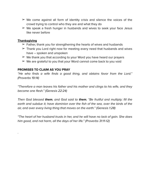- $\geq$  We come against all form of identity crisis and silence the voices of the crowd trying to control who they are and what they do
- $\geq$  We speak a fresh hunger in husbands and wives to seek your face Jesus like never before

.

- $\triangleright$  Father, thank you for strengthening the hearts of wives and husbands
- $\geq$  Thank you Lord right now for meeting every need that husbands and wives have – spoken and unspoken
- $\geq$  We thank you that according to your Word you have heard our prayers
- $\triangleright$  We are grateful to you that your Word cannot come back to you void

### **PROMISES TO CLAIM AS YOU PRAY**

*"He who finds a wife finds a good thing, and obtains favor from the Lord." (Proverbs 19:14)*

*"Therefore a man leaves his father and his mother and clings to his wife, and they become one flesh." (Genesis 22:24)*

*Then God blessed them, and God said to them, "Be fruitful and multiply; fill the earth and subdue it; have dominion over the fish of the sea, over the birds of the air, and over every living thing that moves on the earth." (Genesis 1:28)*

*"The heart of her husband trusts in her, and he will have no lack of gain. She does him good, and not harm, all the days of her life." (Proverbs 31:11-12)*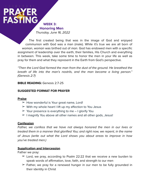**WEEK 3: Honoring Men** *Thursday, June 16, 2022*

The first created being that was in the image of God and enjoyed communion with God was a man (male). While it's true we are all born of *woman*, *woman* was birthed out of *man*. God has endowed men with a specific assignment of leadership over the earth, their families, His Church and everything in between. This week, take some time to honor the men in your life as well as pray for them and what they represent in the Earth from God's perspective.

*"Then the Lord God formed the man from the dust of the ground. He breathed the breath of life into the man's nostrils, and the man became a living person." (Genesis 2:7)*

**BIBLE READING: Genesis 2:7-25** 

### **SUGGESTED FORMAT FOR PRAYER**

### **Praise**

- $\triangleright$  How wonderful is Your great name, Lord!
- $\triangleright$  With my whole heart I lift up my affection to You Jesus
- $\geq$  Your presence is everything to me I glorify You
- $\geq$  I magnify You above all other names and all other gods, Jesus!

### **Confession**

*Father, we confess that we have not always honored the men in our lives or treated them in a manner that glorified You; and right now, we repent, in the name of Jesus (write out what the Lord shows you about areas to improve in how you've treated men.)*

### **Supplication and Intercession**

Father we pray:

- $\geq$  Lord, we pray, according to Psalm 22:22 that we receive a new burden to speak words of affirmation, love, faith, and strength to our men
- $\geq$  Father, we pray for a renewed hunger in our men to be fully grounded in their identity in Christ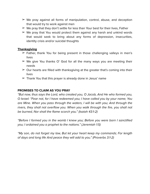- $\geq$  We pray against all forms of manipulation, control, abuse, and deception that would try to work against men
- $\triangleright$  We pray that they don't settle for less than Your best for their lives, Father
- $\geq$  We pray that You would protect them against any harsh and unkind words that would seek to bring about any forms of depression, insecurities, identity crisis and/or suicidal thoughts

- $\geq$  Father, thank You for being present in those challenging valleys in men's lives
- $\geq$  We give You thanks O' God for all the many ways you are meeting their needs
- $\geq$  Our hearts are filled with thanksgiving at the greater that's coming into their lives
- $\geq$  Thank You that this prayer is already done in Jesus' name

### **PROMISES TO CLAIM AS YOU PRAY**

*"But now, thus says the Lord, who created you, O Jacob, And He who formed you, O Israel: "Fear not, for I have redeemed you; I have called you by your name; You are Mine. When you pass through the waters, I will be with you; And through the rivers, they shall not overflow you. When you walk through the fire, you shall not be burned, Nor shall the flame scorch you." (Isaiah 43:1-2)*

*"Before I formed you in the womb I knew you; Before you were born I sanctified you; I ordained you a prophet to the nations." (Jeremiah 1:5)*

*"My son, do not forget my law, But let your heart keep my commands; For length of days and long life And peace they will add to you." (Proverbs 3:1-2)*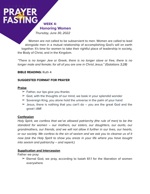**Honoring Women**

*Thursday, June 30, 2022*

**WEEK 4:** 

Women are *not* called to be subservient to men. Women are called to lead alongside men in a mutual relationship of accomplishing God's will on earth together. It's time for women to take their rightful place of leadership in society, the Body of Christ, and in the Kingdom.

*"There is no longer Jew or Greek, there is no longer slave or free, there is no longer male and female; for all of you are one in Christ Jesus." (Galatians 3;28)*

**BIBLE READING:** Ruth 4

### **SUGGESTED FORMAT FOR PRAYER**

### **Praise**

- $\geq$  Father, our lips give you thanks
- $\geq$  God, with the thoughts of our mind, we bask in your splendid wonder
- $\geq$  Sovereign King, you alone hold the universe in the palm of your hand
- $\geq$  Jesus, there is nothing that you can't do you are the great God and the great I AM!

### **Confession**

*Holy Spirit, we confess that we've allowed patriarchy (the rule of men) to be the standard for women – our mothers, our sisters, our daughters, our aunts, our grandmothers, our friends, and we will not allow it further in our lives, our hearts, or our society. We confess to the sin of sexism and we ask you to cleanse us of it now (ask the Holy Spirit to show you areas in your life where you have bought into sexism and patriarchy – and repent.)*

### **Supplication and Intercession**

Father we pray:

 $\geq$  Eternal God, we pray, according to Isaiah 61:1 for the liberation of women everywhere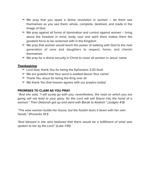- $\geq$  We pray that you spark a divine revolution in women let them see themselves as you see them; whole, complete, destined, and made in the Image of God
- $\geq$  We pray against all forms of domination and control against women bring about the freedom in mind, body, soul and spirit them makes them the greatest force to be reckoned with in the Kingdom
- $\triangleright$  We pray that women would teach the power of walking with God to the next generation of sons and daughters to respect, honor, and cherish themselves
- $\geq$  We pray for a divine security in Christ to cover all women in Jesus' name

- $\geq$  Lord God, thank You for being the Ephesians 3:20 God!
- $\triangleright$  We are grateful that Your word is exalted above Your name!
- $\geq$  Thank You Jesus for being the King over all
- $\triangleright$  We thank You that heaven agrees with our prayers today!

### **PROMISES TO CLAIM AS YOU PRAY**

*"And she said, "I will surely go with you; nevertheless, the road on which you are going will not lead to your glory, for the Lord will sell Sisera into the hand of a woman." Then Deborah got up and went with Barak to Kedesh." (Judges 4:9)*

*"The wise woman builds her house, but the foolish tears it down with her own hands." (Proverbs 14:1)*

*"And blessed is she who believed that there would be a fulfillment of what was spoken to her by the Lord." (Luke 1:45)*